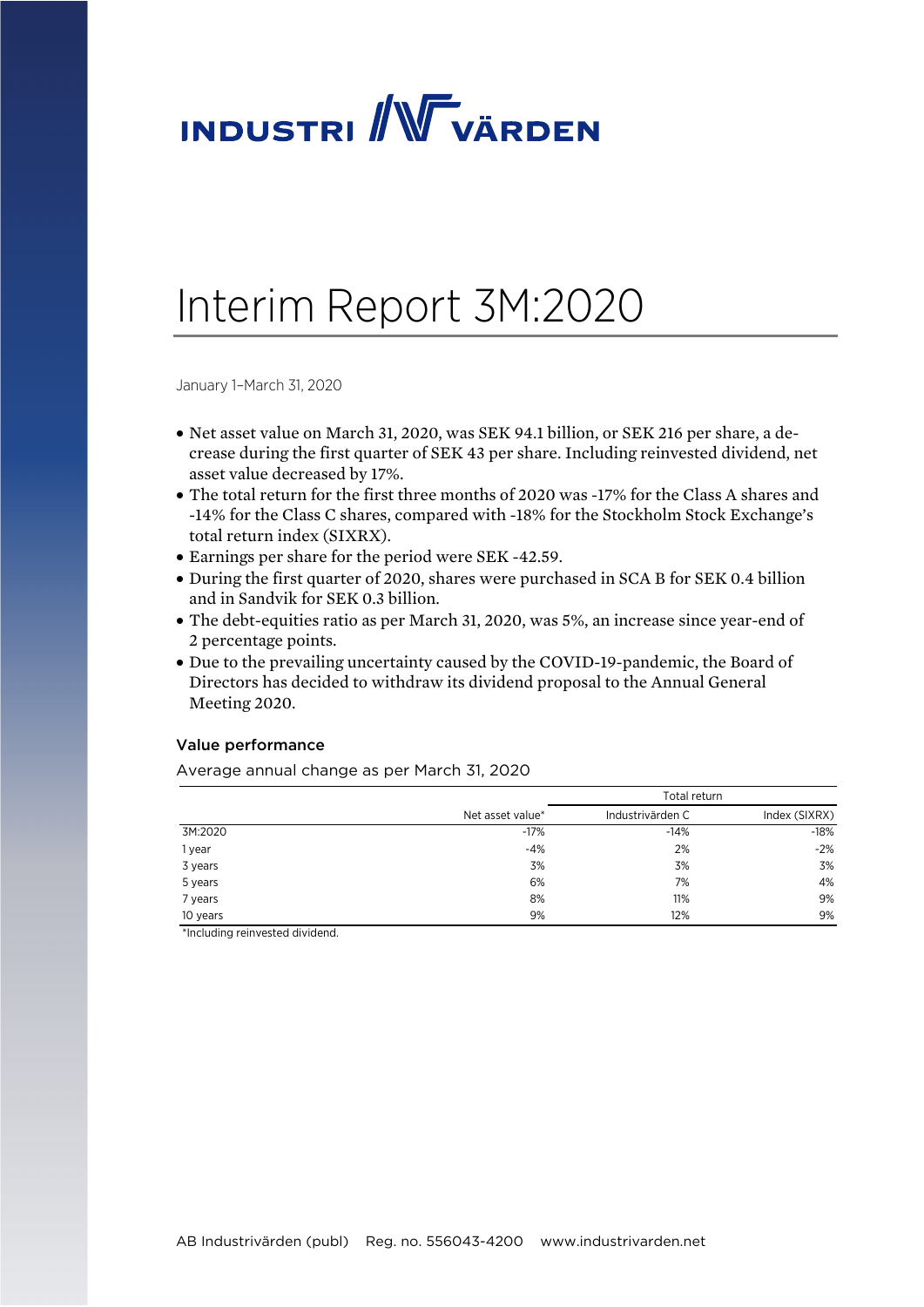# **INDUSTRI** WVARDEN

# Interim Report 3M:2020

January 1–March 31, 2020

- Net asset value on March 31, 2020, was SEK 94.1 billion, or SEK 216 per share, a decrease during the first quarter of SEK 43 per share. Including reinvested dividend, net asset value decreased by 17%.
- The total return for the first three months of 2020 was -17% for the Class A shares and -14% for the Class C shares, compared with -18% for the Stockholm Stock Exchange's total return index (SIXRX).
- Earnings per share for the period were SEK -42.59.
- During the first quarter of 2020, shares were purchased in SCA B for SEK 0.4 billion and in Sandvik for SEK 0.3 billion.
- The debt-equities ratio as per March 31, 2020, was 5%, an increase since year-end of 2 percentage points.
- Due to the prevailing uncertainty caused by the COVID-19-pandemic, the Board of Directors has decided to withdraw its dividend proposal to the Annual General Meeting 2020.

### Value performance

Average annual change as per March 31, 2020

|          |                  | Total return     |               |
|----------|------------------|------------------|---------------|
|          | Net asset value* | Industrivärden C | Index (SIXRX) |
| 3M:2020  | $-17%$           | $-14%$           | $-18%$        |
| 1 year   | $-4%$            | 2%               | $-2%$         |
| 3 years  | 3%               | 3%               | 3%            |
| 5 years  | 6%               | 7%               | 4%            |
| 7 years  | 8%               | 11%              | 9%            |
| 10 years | 9%               | 12%              | 9%            |

\*Including reinvested dividend.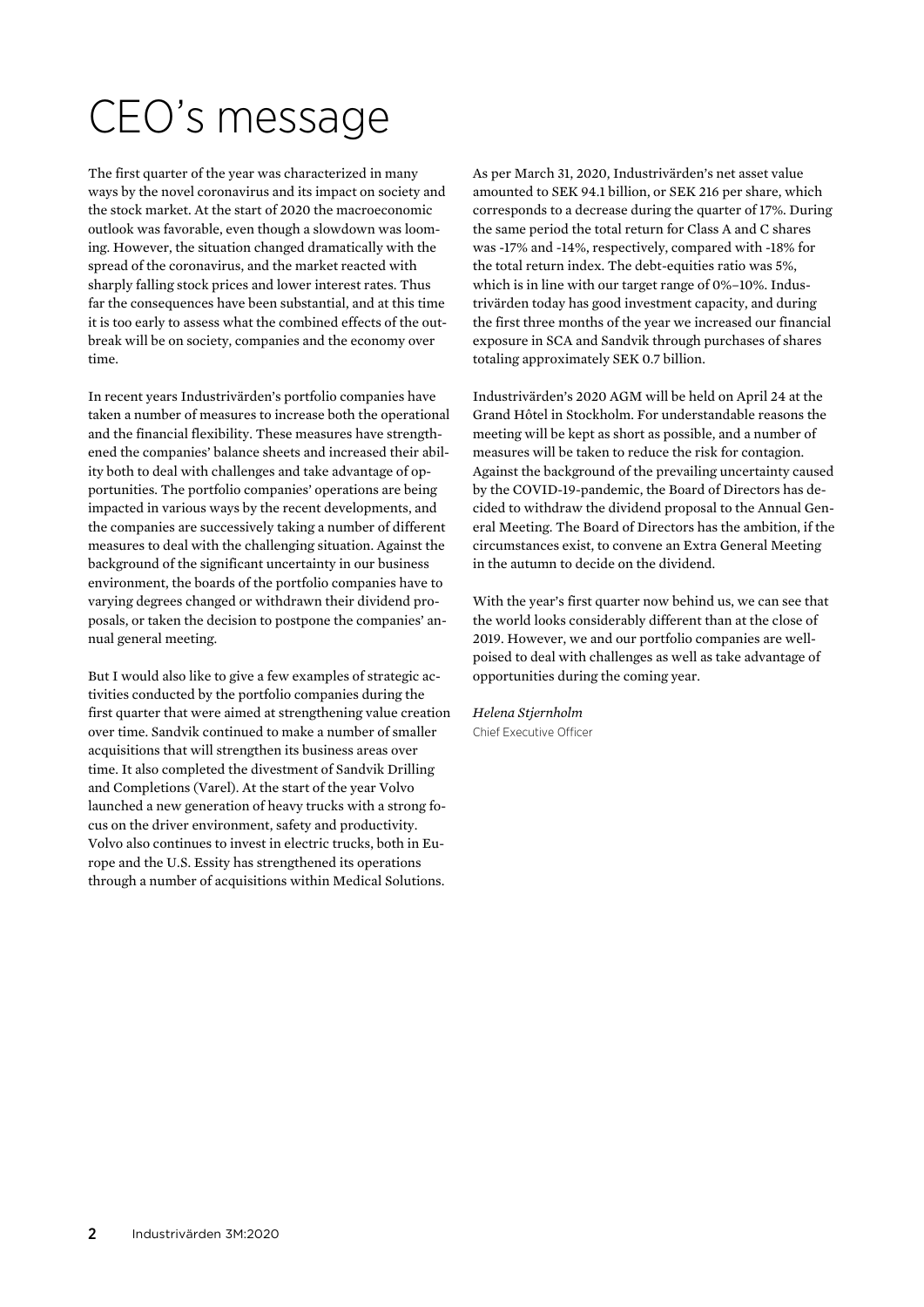# CEO's message

The first quarter of the year was characterized in many ways by the novel coronavirus and its impact on society and the stock market. At the start of 2020 the macroeconomic outlook was favorable, even though a slowdown was looming. However, the situation changed dramatically with the spread of the coronavirus, and the market reacted with sharply falling stock prices and lower interest rates. Thus far the consequences have been substantial, and at this time it is too early to assess what the combined effects of the outbreak will be on society, companies and the economy over time.

In recent years Industrivärden's portfolio companies have taken a number of measures to increase both the operational and the financial flexibility. These measures have strengthened the companies' balance sheets and increased their ability both to deal with challenges and take advantage of opportunities. The portfolio companies' operations are being impacted in various ways by the recent developments, and the companies are successively taking a number of different measures to deal with the challenging situation. Against the background of the significant uncertainty in our business environment, the boards of the portfolio companies have to varying degrees changed or withdrawn their dividend proposals, or taken the decision to postpone the companies' annual general meeting.

But I would also like to give a few examples of strategic activities conducted by the portfolio companies during the first quarter that were aimed at strengthening value creation over time. Sandvik continued to make a number of smaller acquisitions that will strengthen its business areas over time. It also completed the divestment of Sandvik Drilling and Completions (Varel). At the start of the year Volvo launched a new generation of heavy trucks with a strong focus on the driver environment, safety and productivity. Volvo also continues to invest in electric trucks, both in Europe and the U.S. Essity has strengthened its operations through a number of acquisitions within Medical Solutions.

As per March 31, 2020, Industrivärden's net asset value amounted to SEK 94.1 billion, or SEK 216 per share, which corresponds to a decrease during the quarter of 17%. During the same period the total return for Class A and C shares was -17% and -14%, respectively, compared with -18% for the total return index. The debt-equities ratio was 5%, which is in line with our target range of 0%–10%. Industrivärden today has good investment capacity, and during the first three months of the year we increased our financial exposure in SCA and Sandvik through purchases of shares totaling approximately SEK 0.7 billion.

Industrivärden's 2020 AGM will be held on April 24 at the Grand Hôtel in Stockholm. For understandable reasons the meeting will be kept as short as possible, and a number of measures will be taken to reduce the risk for contagion. Against the background of the prevailing uncertainty caused by the COVID-19-pandemic, the Board of Directors has decided to withdraw the dividend proposal to the Annual General Meeting. The Board of Directors has the ambition, if the circumstances exist, to convene an Extra General Meeting in the autumn to decide on the dividend.

With the year's first quarter now behind us, we can see that the world looks considerably different than at the close of 2019. However, we and our portfolio companies are wellpoised to deal with challenges as well as take advantage of opportunities during the coming year.

*Helena Stjernholm*  Chief Executive Officer

2 Industrivärden 3M:2020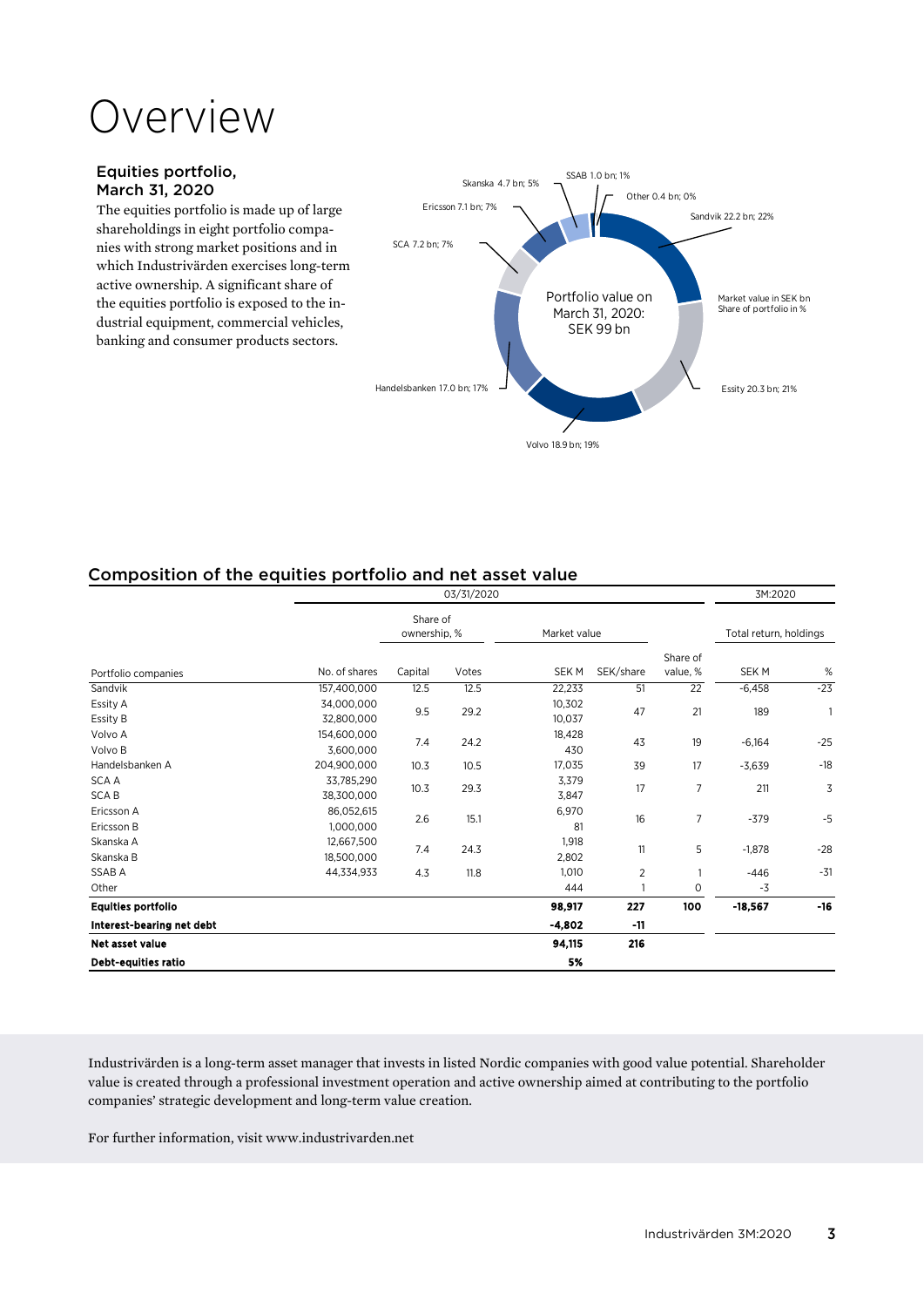# Overview

### Equities portfolio, March 31, 2020

The equities portfolio is made up of large shareholdings in eight portfolio companies with strong market positions and in which Industrivärden exercises long-term active ownership. A significant share of the equities portfolio is exposed to the industrial equipment, commercial vehicles, banking and consumer products sectors.



# Composition of the equities portfolio and net asset value

| 03/31/2020                 |                          |         |                          |                  |              |                      | 3M:2020                |       |
|----------------------------|--------------------------|---------|--------------------------|------------------|--------------|----------------------|------------------------|-------|
|                            |                          |         | Share of<br>ownership, % | Market value     |              |                      | Total return, holdings |       |
| Portfolio companies        | No. of shares            | Capital | Votes                    | SEK M            | SEK/share    | Share of<br>value, % | SEK M                  | %     |
| Sandvik                    | 157,400,000              | 12.5    | 12.5                     | 22,233           | 51           | 22                   | $-6,458$               | $-23$ |
| Essity A<br>Essity B       | 34,000,000<br>32,800,000 | 9.5     | 29.2                     | 10,302<br>10,037 | 47           | 21                   | 189                    | 1     |
| Volvo A<br>Volvo B         | 154,600,000<br>3,600,000 | 7.4     | 24.2                     | 18,428<br>430    | 43           | 19                   | $-6,164$               | $-25$ |
| Handelsbanken A            | 204,900,000              | 10.3    | 10.5                     | 17,035           | 39           | 17                   | $-3,639$               | $-18$ |
| SCA A<br><b>SCAB</b>       | 33,785,290<br>38,300,000 | 10.3    | 29.3                     | 3,379<br>3,847   | 17           | 7                    | 211                    | 3     |
| Ericsson A<br>Ericsson B   | 86,052,615<br>1,000,000  | 2.6     | 15.1                     | 6,970<br>81      | 16           | 7                    | $-379$                 | $-5$  |
| Skanska A<br>Skanska B     | 12,667,500<br>18,500,000 | 7.4     | 24.3                     | 1,918<br>2,802   | 11           | 5                    | $-1,878$               | $-28$ |
| SSAB A                     | 44,334,933               | 4.3     | 11.8                     | 1,010            | 2            |                      | $-446$                 | $-31$ |
| Other                      |                          |         |                          | 444              | $\mathbf{1}$ | 0                    | -3                     |       |
| <b>Equities portfolio</b>  |                          |         |                          | 98,917           | 227          | 100                  | $-18,567$              | $-16$ |
| Interest-bearing net debt  |                          |         |                          | $-4,802$         | $-11$        |                      |                        |       |
| <b>Net asset value</b>     |                          |         |                          | 94,115           | 216          |                      |                        |       |
| <b>Debt-equities ratio</b> |                          |         |                          | 5%               |              |                      |                        |       |

Industrivärden is a long-term asset manager that invests in listed Nordic companies with good value potential. Shareholder value is created through a professional investment operation and active ownership aimed at contributing to the portfolio companies' strategic development and long-term value creation.

For further information, visit www.industrivarden.net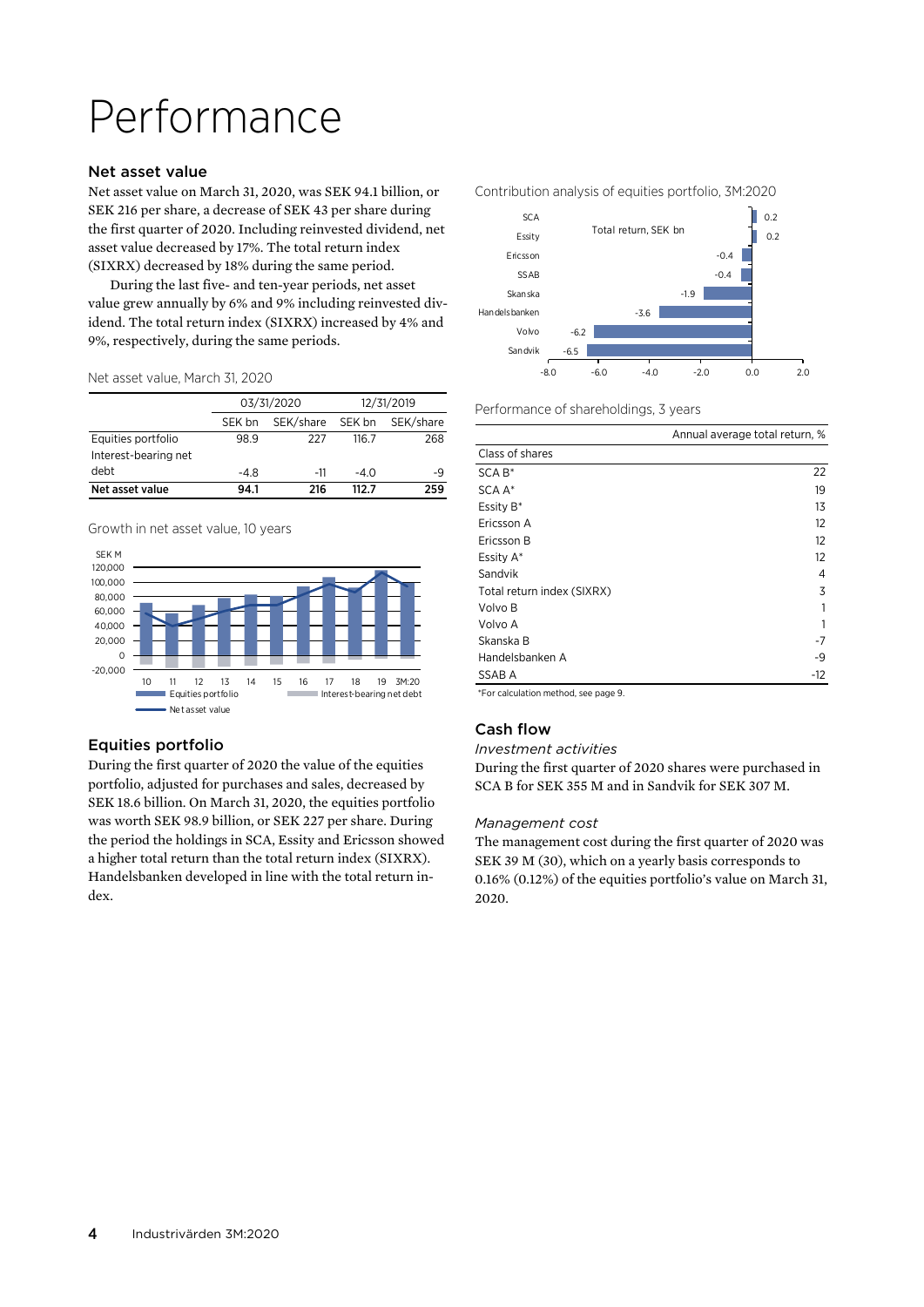# Performance

### Net asset value

Net asset value on March 31, 2020, was SEK 94.1 billion, or SEK 216 per share, a decrease of SEK 43 per share during the first quarter of 2020. Including reinvested dividend, net asset value decreased by 17%. The total return index (SIXRX) decreased by 18% during the same period.

During the last five- and ten-year periods, net asset value grew annually by 6% and 9% including reinvested dividend. The total return index (SIXRX) increased by 4% and 9%, respectively, during the same periods.

Net asset value, March 31, 2020

|                      | 03/31/2020 |           | 12/31/2019 |           |
|----------------------|------------|-----------|------------|-----------|
|                      | SEK bn     | SEK/share | SEK bn     | SEK/share |
| Equities portfolio   | 98.9       | 227       | 116.7      | 268       |
| Interest-bearing net |            |           |            |           |
| debt                 | -4.8       | -11       | $-4.0$     | -9        |
| Net asset value      | 94.1       | 216       | 112 7      | 259       |

Growth in net asset value, 10 years



# Equities portfolio

During the first quarter of 2020 the value of the equities portfolio, adjusted for purchases and sales, decreased by SEK 18.6 billion. On March 31, 2020, the equities portfolio was worth SEK 98.9 billion, or SEK 227 per share. During the period the holdings in SCA, Essity and Ericsson showed a higher total return than the total return index (SIXRX). Handelsbanken developed in line with the total return index.



Performance of shareholdings, 3 years

| Class of shares<br>SCA B*<br>SCA A*<br>19<br>Essity B*<br>13<br>12<br>Ericsson A<br>12<br>Ericsson B<br>12<br>Essity A*<br>Sandvik<br>4<br>3<br>Total return index (SIXRX)<br>Volvo B<br>Volvo A | Annual average total return, % |
|--------------------------------------------------------------------------------------------------------------------------------------------------------------------------------------------------|--------------------------------|
|                                                                                                                                                                                                  |                                |
|                                                                                                                                                                                                  | 22                             |
|                                                                                                                                                                                                  |                                |
|                                                                                                                                                                                                  |                                |
|                                                                                                                                                                                                  |                                |
|                                                                                                                                                                                                  |                                |
|                                                                                                                                                                                                  |                                |
|                                                                                                                                                                                                  |                                |
|                                                                                                                                                                                                  |                                |
|                                                                                                                                                                                                  |                                |
|                                                                                                                                                                                                  |                                |
| Skanska B<br>-7                                                                                                                                                                                  |                                |
| Handelsbanken A<br>-9                                                                                                                                                                            |                                |
| SSAB A<br>$-12$                                                                                                                                                                                  |                                |

\*For calculation method, see page 9.

# Cash flow

#### *Investment activities*

During the first quarter of 2020 shares were purchased in SCA B for SEK 355 M and in Sandvik for SEK 307 M.

#### *Management cost*

The management cost during the first quarter of 2020 was SEK 39 M (30), which on a yearly basis corresponds to 0.16% (0.12%) of the equities portfolio's value on March 31, 2020.

Contribution analysis of equities portfolio, 3M:2020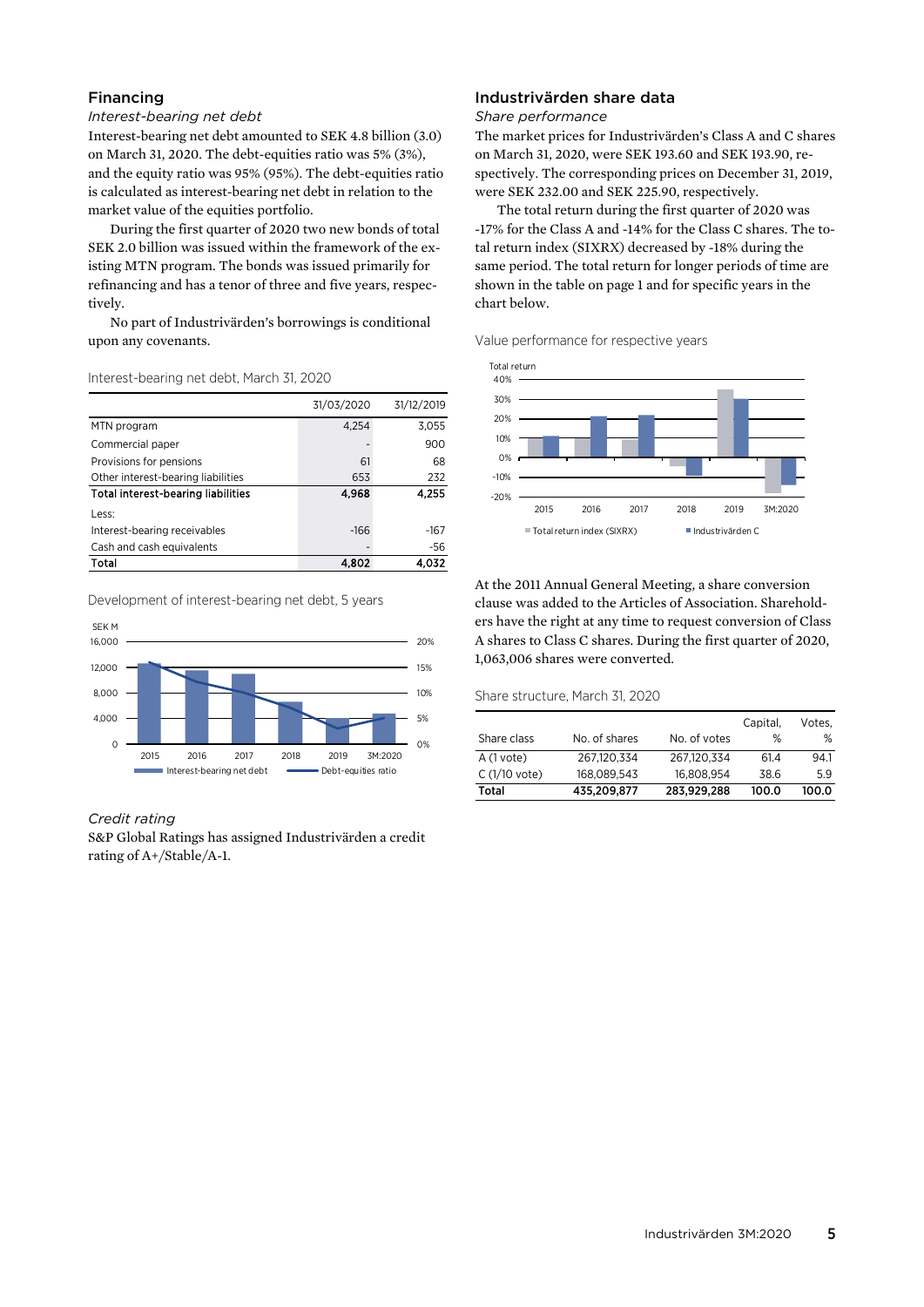### Financing

### *Interest-bearing net debt*

Interest-bearing net debt amounted to SEK 4.8 billion (3.0) on March 31, 2020. The debt-equities ratio was 5% (3%), and the equity ratio was 95% (95%). The debt-equities ratio is calculated as interest-bearing net debt in relation to the market value of the equities portfolio.

During the first quarter of 2020 two new bonds of total SEK 2.0 billion was issued within the framework of the existing MTN program. The bonds was issued primarily for refinancing and has a tenor of three and five years, respectively.

No part of Industrivärden's borrowings is conditional upon any covenants.

#### Interest-bearing net debt, March 31, 2020

|                                           | 31/03/2020 | 31/12/2019 |
|-------------------------------------------|------------|------------|
| MTN program                               | 4.254      | 3,055      |
| Commercial paper                          |            | 900        |
| Provisions for pensions                   | 61         | 68         |
| Other interest-bearing liabilities        | 653        | 232        |
| <b>Total interest-bearing liabilities</b> | 4.968      | 4.255      |
| Less:                                     |            |            |
| Interest-bearing receivables              | $-166$     | $-167$     |
| Cash and cash equivalents                 |            | $-56$      |
| Total                                     | 4,802      | 4.032      |

Development of interest-bearing net debt, 5 years



#### *Credit rating*

S&P Global Ratings has assigned Industrivärden a credit rating of A+/Stable/A-1.

### Industrivärden share data

#### *Share performance*

The market prices for Industrivärden's Class A and C shares on March 31, 2020, were SEK 193.60 and SEK 193.90, respectively. The corresponding prices on December 31, 2019, were SEK 232.00 and SEK 225.90, respectively.

The total return during the first quarter of 2020 was -17% for the Class A and -14% for the Class C shares. The total return index (SIXRX) decreased by -18% during the same period. The total return for longer periods of time are shown in the table on page 1 and for specific years in the chart below.

Value performance for respective years



At the 2011 Annual General Meeting, a share conversion clause was added to the Articles of Association. Shareholders have the right at any time to request conversion of Class A shares to Class C shares. During the first quarter of 2020, 1,063,006 shares were converted.

#### Share structure, March 31, 2020

|                |               |              | Capital, | Votes. |
|----------------|---------------|--------------|----------|--------|
| Share class    | No. of shares | No. of votes | %        | ℅      |
| $A(1$ vote)    | 267.120.334   | 267.120.334  | 61.4     | 94.1   |
| $C(1/10$ vote) | 168.089.543   | 16.808.954   | 38.6     | 5.9    |
| Total          | 435,209,877   | 283.929.288  | 100.0    | 100.0  |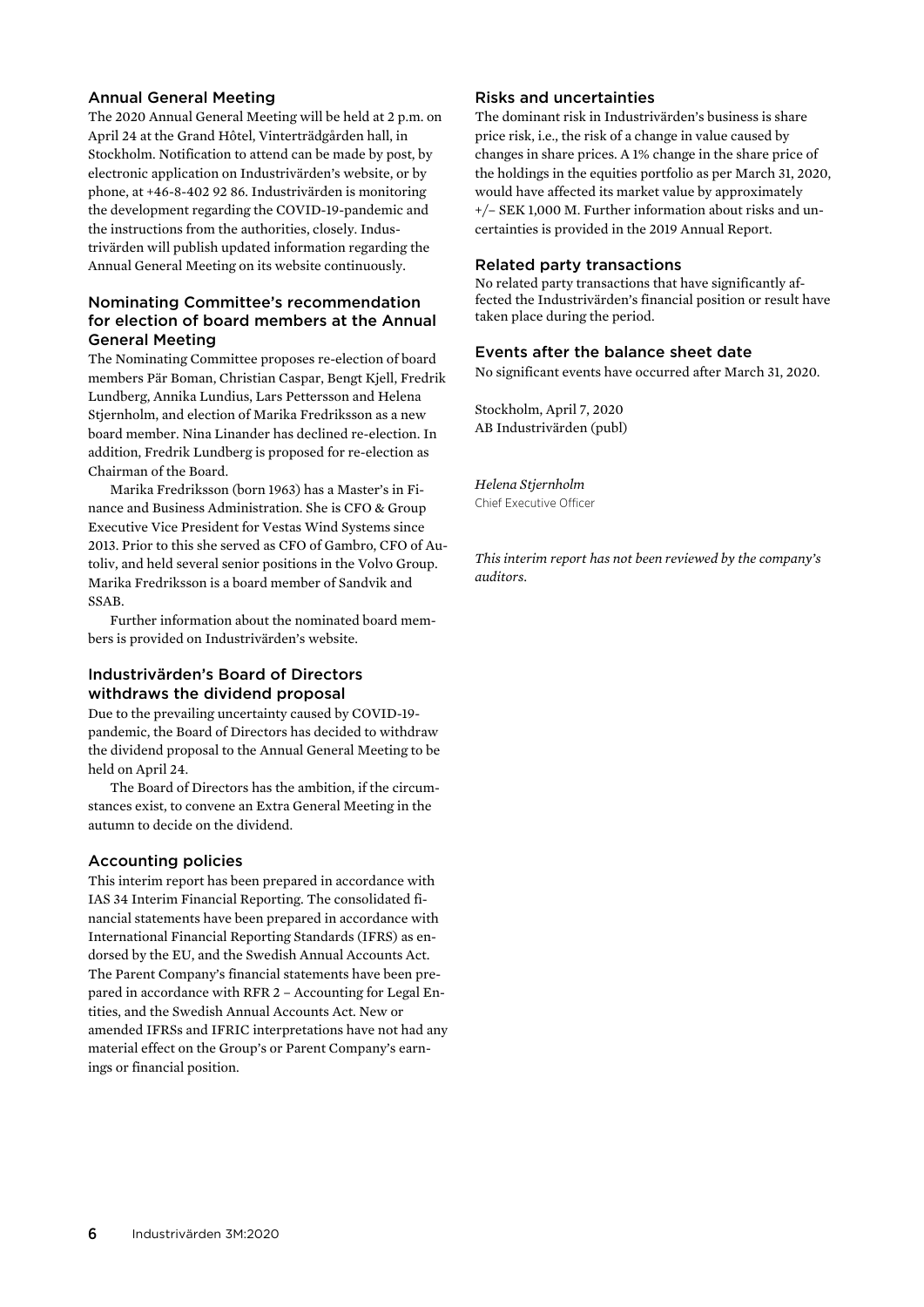### Annual General Meeting

The 2020 Annual General Meeting will be held at 2 p.m. on April 24 at the Grand Hôtel, Vinterträdgården hall, in Stockholm. Notification to attend can be made by post, by electronic application on Industrivärden's website, or by phone, at +46-8-402 92 86. Industrivärden is monitoring the development regarding the COVID-19-pandemic and the instructions from the authorities, closely. Industrivärden will publish updated information regarding the Annual General Meeting on its website continuously.

### Nominating Committee's recommendation for election of board members at the Annual General Meeting

The Nominating Committee proposes re-election of board members Pär Boman, Christian Caspar, Bengt Kjell, Fredrik Lundberg, Annika Lundius, Lars Pettersson and Helena Stjernholm, and election of Marika Fredriksson as a new board member. Nina Linander has declined re-election. In addition, Fredrik Lundberg is proposed for re-election as Chairman of the Board.

Marika Fredriksson (born 1963) has a Master's in Finance and Business Administration. She is CFO & Group Executive Vice President for Vestas Wind Systems since 2013. Prior to this she served as CFO of Gambro, CFO of Autoliv, and held several senior positions in the Volvo Group. Marika Fredriksson is a board member of Sandvik and SSAB.

Further information about the nominated board members is provided on Industrivärden's website.

### Industrivärden's Board of Directors withdraws the dividend proposal

Due to the prevailing uncertainty caused by COVID-19 pandemic, the Board of Directors has decided to withdraw the dividend proposal to the Annual General Meeting to be held on April 24.

The Board of Directors has the ambition, if the circumstances exist, to convene an Extra General Meeting in the autumn to decide on the dividend.

### Accounting policies

This interim report has been prepared in accordance with IAS 34 Interim Financial Reporting. The consolidated financial statements have been prepared in accordance with International Financial Reporting Standards (IFRS) as endorsed by the EU, and the Swedish Annual Accounts Act. The Parent Company's financial statements have been prepared in accordance with RFR 2 – Accounting for Legal Entities, and the Swedish Annual Accounts Act. New or amended IFRSs and IFRIC interpretations have not had any material effect on the Group's or Parent Company's earnings or financial position.

### Risks and uncertainties

The dominant risk in Industrivärden's business is share price risk, i.e., the risk of a change in value caused by changes in share prices. A 1% change in the share price of the holdings in the equities portfolio as per March 31, 2020, would have affected its market value by approximately +/– SEK 1,000 M. Further information about risks and uncertainties is provided in the 2019 Annual Report.

#### Related party transactions

No related party transactions that have significantly affected the Industrivärden's financial position or result have taken place during the period.

### Events after the balance sheet date

No significant events have occurred after March 31, 2020.

Stockholm, April 7, 2020 AB Industrivärden (publ)

*Helena Stjernholm*  Chief Executive Officer

*This interim report has not been reviewed by the company's auditors.*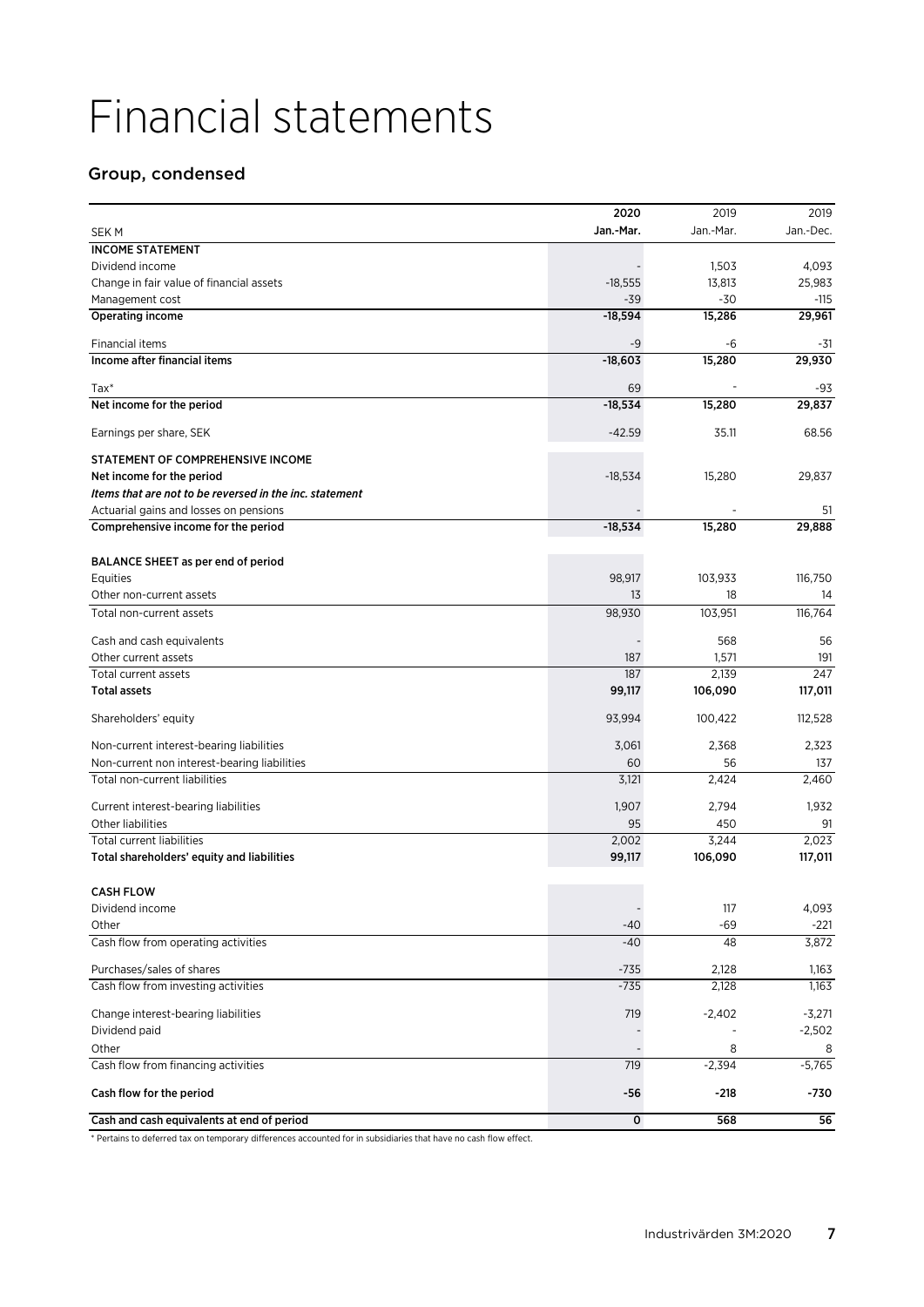# Financial statements

# Group, condensed

|                                                         | 2020                     | 2019          | 2019      |
|---------------------------------------------------------|--------------------------|---------------|-----------|
| <b>SEK M</b>                                            | Jan.-Mar.                | Jan.-Mar.     | Jan.-Dec. |
| <b>INCOME STATEMENT</b>                                 |                          |               |           |
| Dividend income                                         |                          | 1,503         | 4,093     |
| Change in fair value of financial assets                | $-18,555$                | 13,813        | 25,983    |
| Management cost                                         | $-39$                    | $-30$         | -115      |
| Operating income                                        | $-18,594$                | 15,286        | 29,961    |
| Financial items                                         | -9                       | -6            | -31       |
| Income after financial items                            | $-18,603$                | 15,280        | 29,930    |
| $\text{Tax*}$                                           | 69                       |               | -93       |
| Net income for the period                               | $-18,534$                | 15,280        | 29,837    |
|                                                         |                          |               |           |
| Earnings per share, SEK                                 | $-42.59$                 | 35.11         | 68.56     |
| STATEMENT OF COMPREHENSIVE INCOME                       |                          |               |           |
| Net income for the period                               | $-18,534$                | 15,280        | 29,837    |
| Items that are not to be reversed in the inc. statement |                          |               |           |
| Actuarial gains and losses on pensions                  |                          |               | 51        |
| Comprehensive income for the period                     | $-18,534$                | 15,280        | 29,888    |
|                                                         |                          |               |           |
| BALANCE SHEET as per end of period                      |                          |               |           |
| Equities<br>Other non-current assets                    | 98,917<br>13             | 103,933<br>18 | 116,750   |
| Total non-current assets                                |                          |               | 14        |
|                                                         | 98,930                   | 103,951       | 116,764   |
| Cash and cash equivalents                               |                          | 568           | 56        |
| Other current assets                                    | 187                      | 1,571         | 191       |
| Total current assets                                    | 187                      | 2,139         | 247       |
| <b>Total assets</b>                                     | 99,117                   | 106,090       | 117,011   |
| Shareholders' equity                                    | 93,994                   | 100,422       | 112,528   |
| Non-current interest-bearing liabilities                | 3,061                    | 2,368         | 2,323     |
| Non-current non interest-bearing liabilities            | 60                       | 56            | 137       |
| Total non-current liabilities                           | 3,121                    | 2,424         | 2,460     |
| Current interest-bearing liabilities                    | 1,907                    | 2,794         | 1,932     |
| Other liabilities                                       | 95                       | 450           | 91        |
| <b>Total current liabilities</b>                        | 2,002                    | 3,244         | 2,023     |
| Total shareholders' equity and liabilities              | 99,117                   | 106,090       | 117,011   |
|                                                         |                          |               |           |
| <b>CASH FLOW</b>                                        |                          |               |           |
| Dividend income                                         | $\overline{\phantom{a}}$ | 117           | 4,093     |
| Other                                                   | -40                      | $-69$         | $-221$    |
| Cash flow from operating activities                     | $-40$                    | 48            | 3,872     |
| Purchases/sales of shares                               | $-735$                   | 2,128         | 1,163     |
| Cash flow from investing activities                     | $-735$                   | 2,128         | 1,163     |
| Change interest-bearing liabilities                     | 719                      | $-2,402$      | $-3,271$  |
| Dividend paid                                           |                          |               | $-2,502$  |
| Other                                                   |                          | 8             | 8         |
| Cash flow from financing activities                     | 719                      | $-2,394$      | $-5,765$  |
| Cash flow for the period                                | -56                      | $-218$        | -730      |
| Cash and cash equivalents at end of period              | $\mathbf 0$              | 568           | 56        |

\* Pertains to deferred tax on temporary differences accounted for in subsidiaries that have no cash flow effect.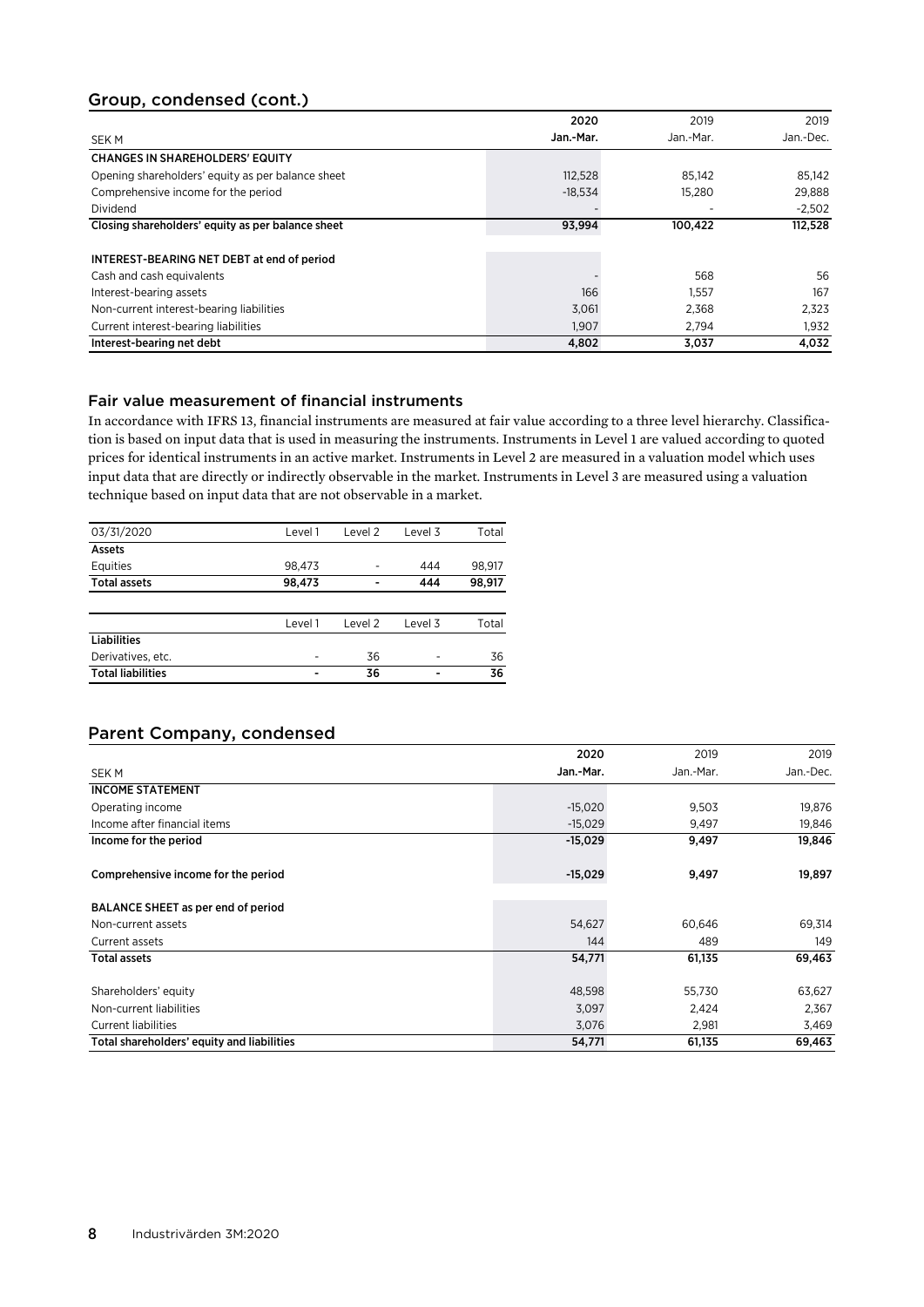# Group, condensed (cont.)

|                                                   | 2020      | 2019      | 2019      |
|---------------------------------------------------|-----------|-----------|-----------|
| SEK M                                             | Jan.-Mar. | Jan.-Mar. | Jan.-Dec. |
| <b>CHANGES IN SHAREHOLDERS' EQUITY</b>            |           |           |           |
| Opening shareholders' equity as per balance sheet | 112,528   | 85.142    | 85.142    |
| Comprehensive income for the period               | $-18.534$ | 15.280    | 29.888    |
| Dividend                                          |           | -         | $-2,502$  |
| Closing shareholders' equity as per balance sheet | 93,994    | 100,422   | 112,528   |
|                                                   |           |           |           |
| INTEREST-BEARING NET DEBT at end of period        |           |           |           |
| Cash and cash equivalents                         |           | 568       | 56        |
| Interest-bearing assets                           | 166       | 1,557     | 167       |
| Non-current interest-bearing liabilities          | 3,061     | 2,368     | 2.323     |
| Current interest-bearing liabilities              | 1.907     | 2.794     | 1,932     |
| Interest-bearing net debt                         | 4,802     | 3,037     | 4.032     |

### Fair value measurement of financial instruments

In accordance with IFRS 13, financial instruments are measured at fair value according to a three level hierarchy. Classification is based on input data that is used in measuring the instruments. Instruments in Level 1 are valued according to quoted prices for identical instruments in an active market. Instruments in Level 2 are measured in a valuation model which uses input data that are directly or indirectly observable in the market. Instruments in Level 3 are measured using a valuation technique based on input data that are not observable in a market.

| 03/31/2020               | Level 1 | Level 2                  | Level 3 | Total  |
|--------------------------|---------|--------------------------|---------|--------|
| Assets                   |         |                          |         |        |
| Equities                 | 98,473  | -                        | 444     | 98,917 |
| <b>Total assets</b>      | 98,473  | $\overline{\phantom{0}}$ | 444     | 98,917 |
|                          |         |                          |         |        |
|                          | Level 1 | Level 2                  | Level 3 | Total  |
| <b>Liabilities</b>       |         |                          |         |        |
| Derivatives, etc.        |         | 36                       | ٠       | 36     |
| <b>Total liabilities</b> |         | 36                       |         | 36     |
|                          |         |                          |         |        |

# Parent Company, condensed

|                                            | 2020      | 2019      | 2019      |
|--------------------------------------------|-----------|-----------|-----------|
| <b>SEK M</b>                               | Jan.-Mar. | Jan.-Mar. | Jan.-Dec. |
| <b>INCOME STATEMENT</b>                    |           |           |           |
| Operating income                           | $-15,020$ | 9,503     | 19,876    |
| Income after financial items               | $-15,029$ | 9,497     | 19,846    |
| Income for the period                      | $-15,029$ | 9,497     | 19,846    |
| Comprehensive income for the period        | $-15,029$ | 9,497     | 19,897    |
| BALANCE SHEET as per end of period         |           |           |           |
| Non-current assets                         | 54,627    | 60,646    | 69,314    |
| Current assets                             | 144       | 489       | 149       |
| <b>Total assets</b>                        | 54,771    | 61,135    | 69,463    |
| Shareholders' equity                       | 48,598    | 55,730    | 63,627    |
| Non-current liabilities                    | 3,097     | 2,424     | 2,367     |
| <b>Current liabilities</b>                 | 3,076     | 2,981     | 3,469     |
| Total shareholders' equity and liabilities | 54,771    | 61,135    | 69,463    |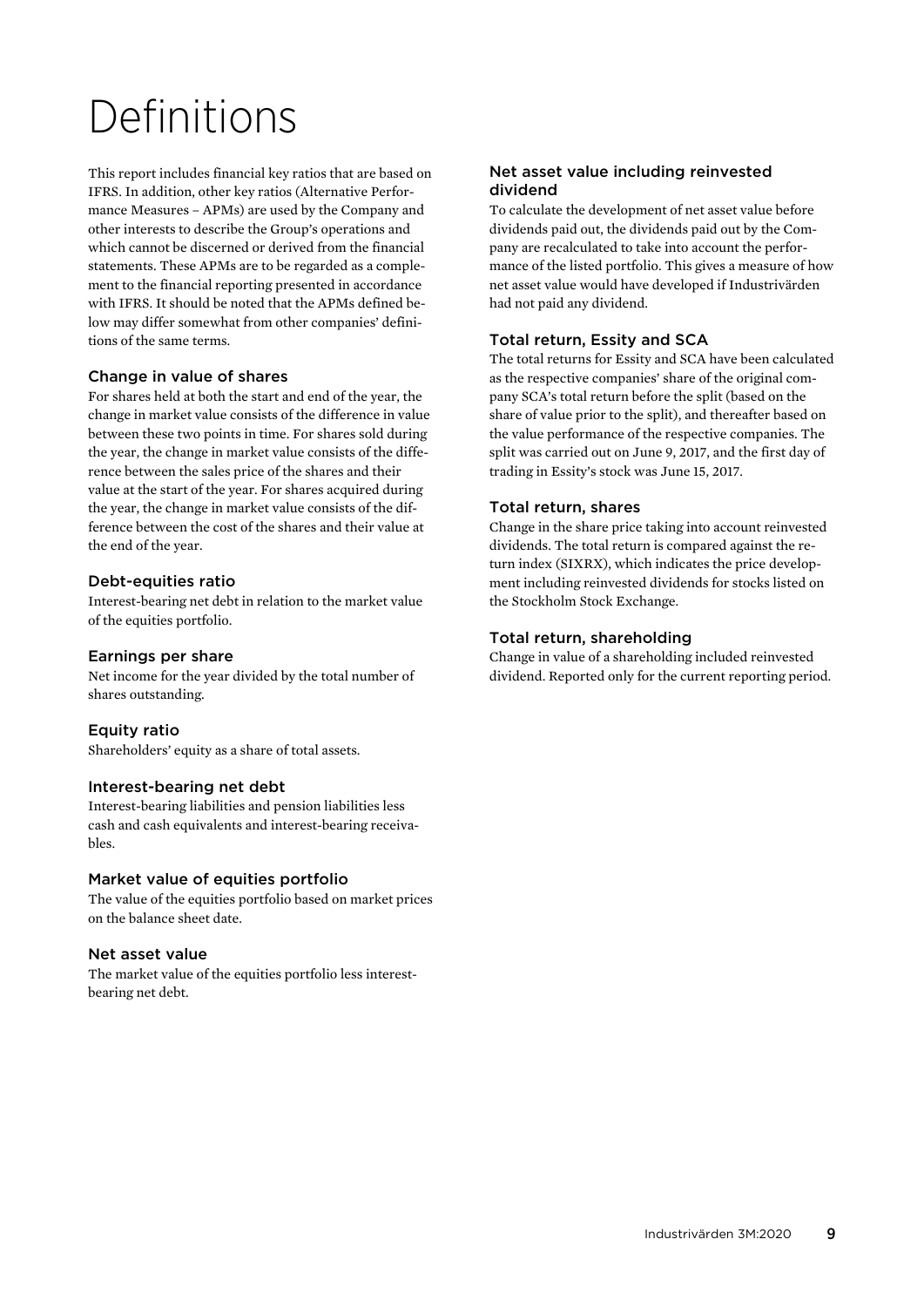# Definitions

This report includes financial key ratios that are based on IFRS. In addition, other key ratios (Alternative Performance Measures – APMs) are used by the Company and other interests to describe the Group's operations and which cannot be discerned or derived from the financial statements. These APMs are to be regarded as a complement to the financial reporting presented in accordance with IFRS. It should be noted that the APMs defined below may differ somewhat from other companies' definitions of the same terms.

### Change in value of shares

For shares held at both the start and end of the year, the change in market value consists of the difference in value between these two points in time. For shares sold during the year, the change in market value consists of the difference between the sales price of the shares and their value at the start of the year. For shares acquired during the year, the change in market value consists of the difference between the cost of the shares and their value at the end of the year.

### Debt-equities ratio

Interest-bearing net debt in relation to the market value of the equities portfolio.

### Earnings per share

Net income for the year divided by the total number of shares outstanding.

### Equity ratio

Shareholders' equity as a share of total assets.

### Interest-bearing net debt

Interest-bearing liabilities and pension liabilities less cash and cash equivalents and interest-bearing receivables.

### Market value of equities portfolio

The value of the equities portfolio based on market prices on the balance sheet date.

### Net asset value

The market value of the equities portfolio less interestbearing net debt.

### Net asset value including reinvested dividend

To calculate the development of net asset value before dividends paid out, the dividends paid out by the Company are recalculated to take into account the performance of the listed portfolio. This gives a measure of how net asset value would have developed if Industrivärden had not paid any dividend.

### Total return, Essity and SCA

The total returns for Essity and SCA have been calculated as the respective companies' share of the original company SCA's total return before the split (based on the share of value prior to the split), and thereafter based on the value performance of the respective companies. The split was carried out on June 9, 2017, and the first day of trading in Essity's stock was June 15, 2017.

### Total return, shares

Change in the share price taking into account reinvested dividends. The total return is compared against the return index (SIXRX), which indicates the price development including reinvested dividends for stocks listed on the Stockholm Stock Exchange.

### Total return, shareholding

Change in value of a shareholding included reinvested dividend. Reported only for the current reporting period.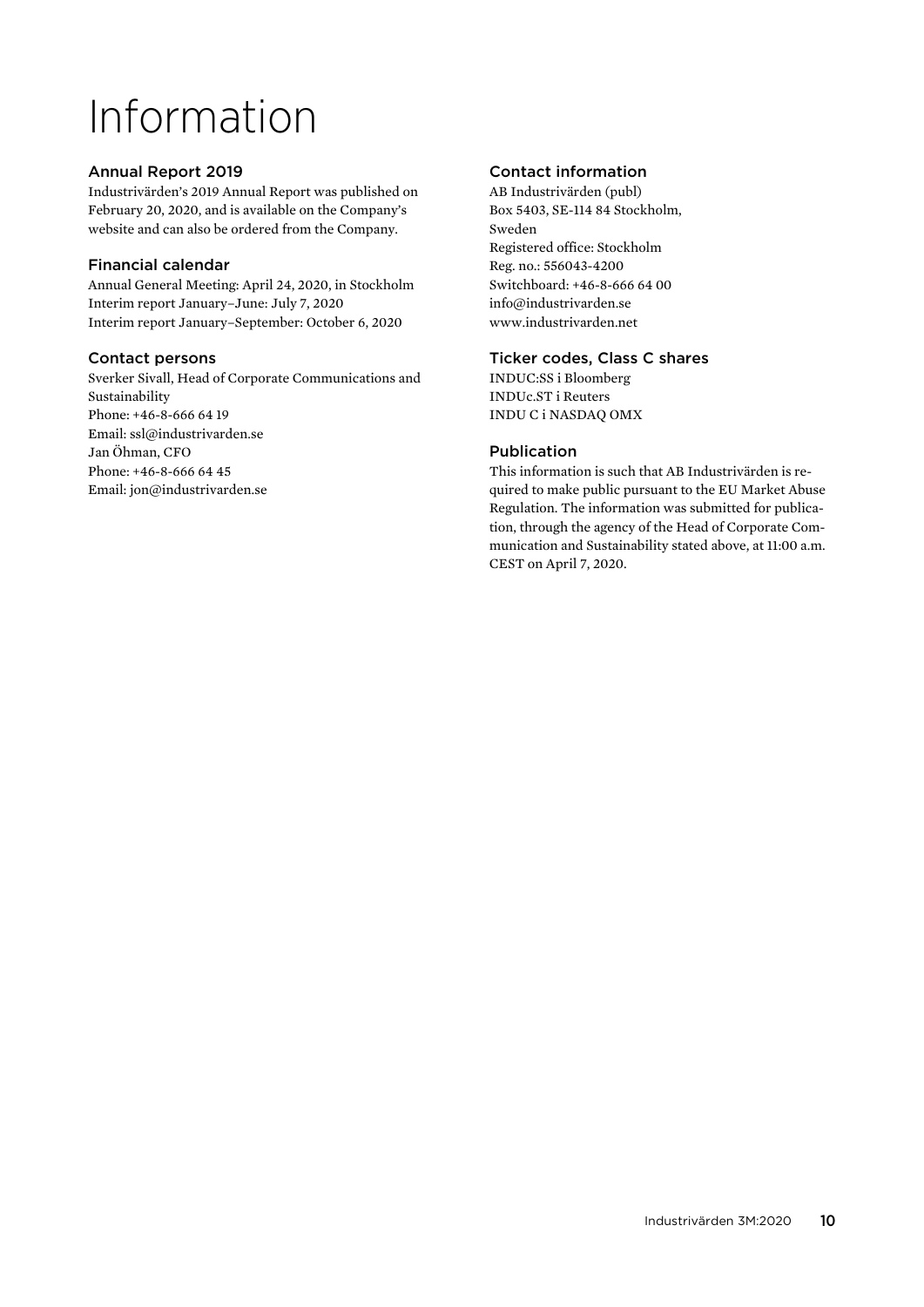# Information

# Annual Report 2019

Industrivärden's 2019 Annual Report was published on February 20, 2020, and is available on the Company's website and can also be ordered from the Company.

### Financial calendar

Annual General Meeting: April 24, 2020, in Stockholm Interim report January–June: July 7, 2020 Interim report January–September: October 6, 2020

# Contact persons

Sverker Sivall, Head of Corporate Communications and Sustainability Phone: +46-8-666 64 19 Email: ssl@industrivarden.se Jan Öhman, CFO Phone: +46-8-666 64 45 Email: jon@industrivarden.se

# Contact information

AB Industrivärden (publ) Box 5403, SE-114 84 Stockholm, Sweden Registered office: Stockholm Reg. no.: 556043-4200 Switchboard: +46-8-666 64 00 info@industrivarden.se www.industrivarden.net

### Ticker codes, Class C shares

INDUC:SS i Bloomberg INDUc.ST i Reuters INDU C i NASDAQ OMX

# Publication

This information is such that AB Industrivärden is required to make public pursuant to the EU Market Abuse Regulation. The information was submitted for publication, through the agency of the Head of Corporate Communication and Sustainability stated above, at 11:00 a.m. CEST on April 7, 2020.